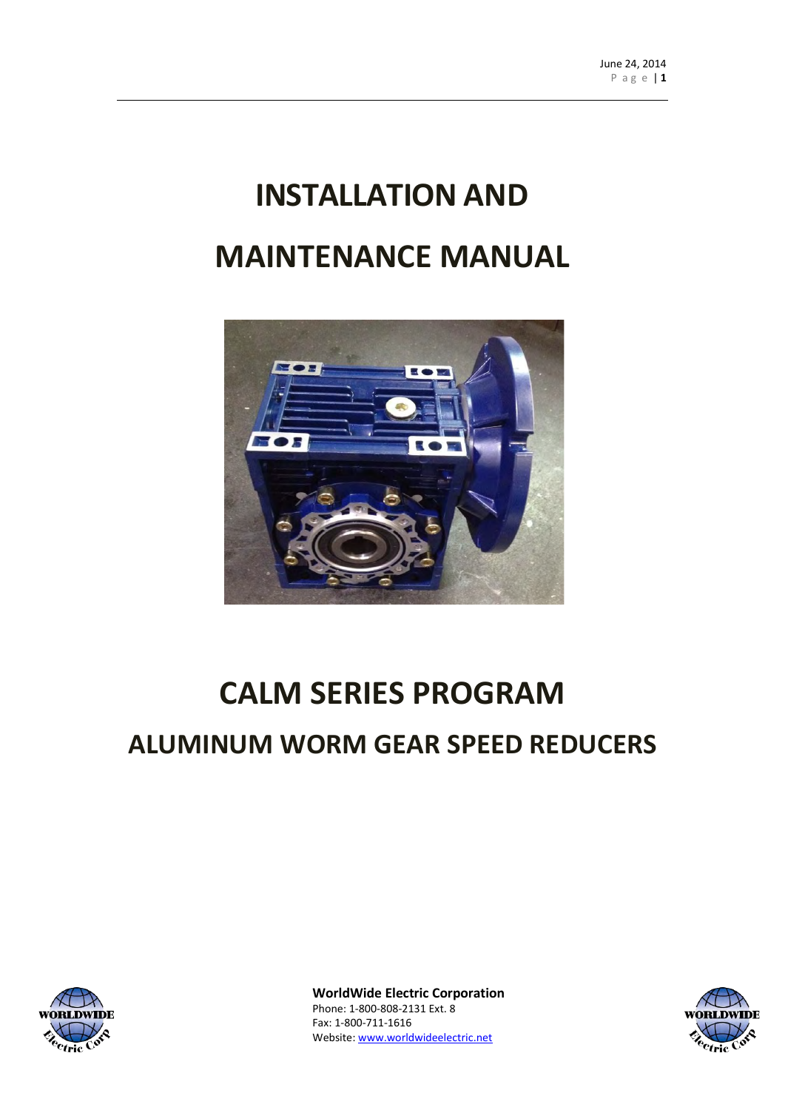# **INSTALLATION AND MAINTENANCE MANUAL**



# **CALM SERIES PROGRAM**

# **ALUMINUM WORM GEAR SPEED REDUCERS**



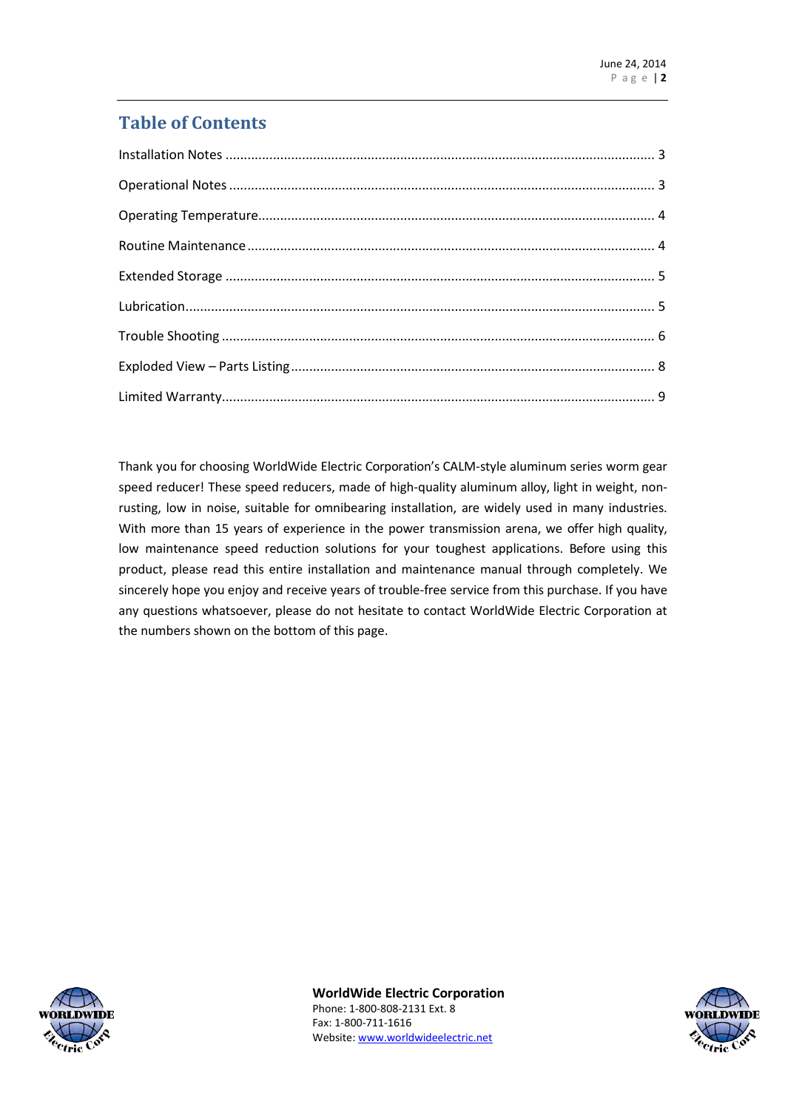### **Table of Contents**

Thank you for choosing WorldWide Electric Corporation's CALM-style aluminum series worm gear speed reducer! These speed reducers, made of high-quality aluminum alloy, light in weight, nonrusting, low in noise, suitable for omnibearing installation, are widely used in many industries. With more than 15 years of experience in the power transmission arena, we offer high quality, low maintenance speed reduction solutions for your toughest applications. Before using this product, please read this entire installation and maintenance manual through completely. We sincerely hope you enjoy and receive years of trouble-free service from this purchase. If you have any questions whatsoever, please do not hesitate to contact WorldWide Electric Corporation at the numbers shown on the bottom of this page.



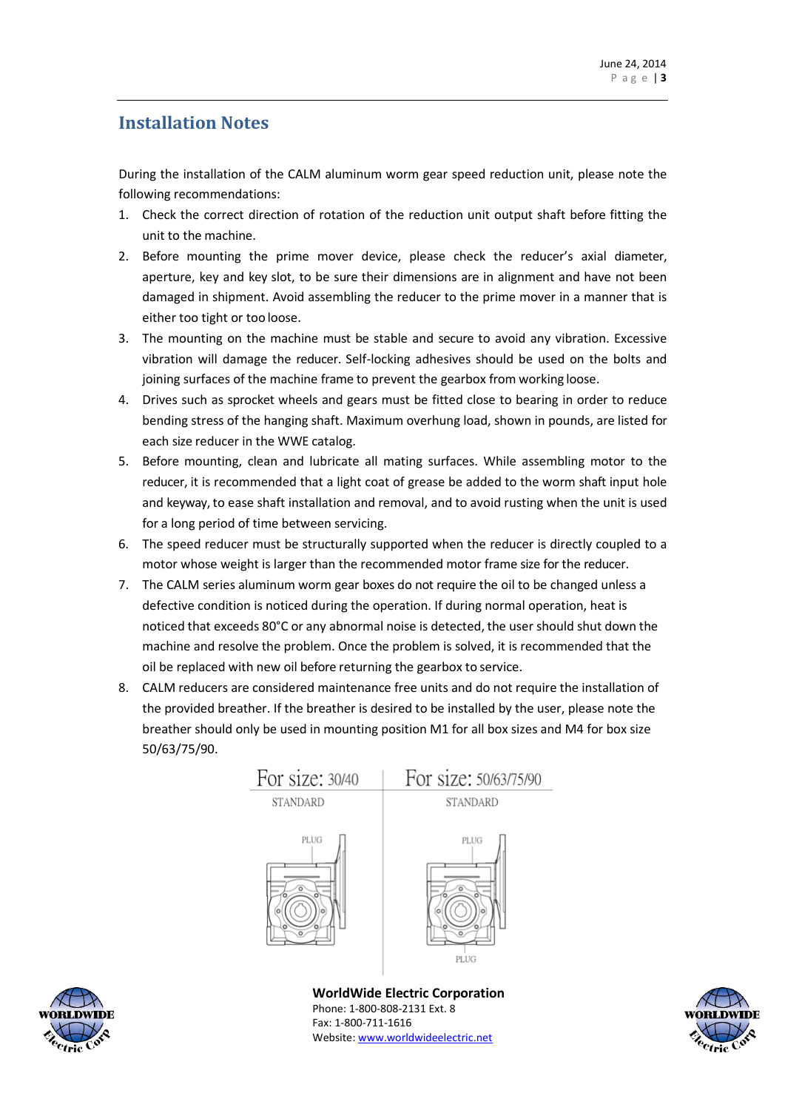#### <span id="page-2-0"></span>**Installation Notes**

During the installation of the CALM aluminum worm gear speed reduction unit, please note the following recommendations:

- 1. Check the correct direction of rotation of the reduction unit output shaft before fitting the unit to the machine.
- 2. Before mounting the prime mover device, please check the reducer's axial diameter, aperture, key and key slot, to be sure their dimensions are in alignment and have not been damaged in shipment. Avoid assembling the reducer to the prime mover in a manner that is either too tight or too loose.
- 3. The mounting on the machine must be stable and secure to avoid any vibration. Excessive vibration will damage the reducer. Self-locking adhesives should be used on the bolts and joining surfaces of the machine frame to prevent the gearbox from working loose.
- 4. Drives such as sprocket wheels and gears must be fitted close to bearing in order to reduce bending stress of the hanging shaft. Maximum overhung load, shown in pounds, are listed for each size reducer in the WWE catalog.
- 5. Before mounting, clean and lubricate all mating surfaces. While assembling motor to the reducer, it is recommended that a light coat of grease be added to the worm shaft input hole and keyway, to ease shaft installation and removal, and to avoid rusting when the unit is used for a long period of time between servicing.
- 6. The speed reducer must be structurally supported when the reducer is directly coupled to a motor whose weight is larger than the recommended motor frame size for the reducer.
- 7. The CALM series aluminum worm gear boxes do not require the oil to be changed unless a defective condition is noticed during the operation. If during normal operation, heat is noticed that exceeds 80°C or any abnormal noise is detected, the user should shut down the machine and resolve the problem. Once the problem is solved, it is recommended that the oil be replaced with new oil before returning the gearbox to service.
- 8. CALM reducers are considered maintenance free units and do not require the installation of the provided breather. If the breather is desired to be installed by the user, please note the breather should only be used in mounting position M1 for all box sizes and M4 for box size 50/63/75/90.





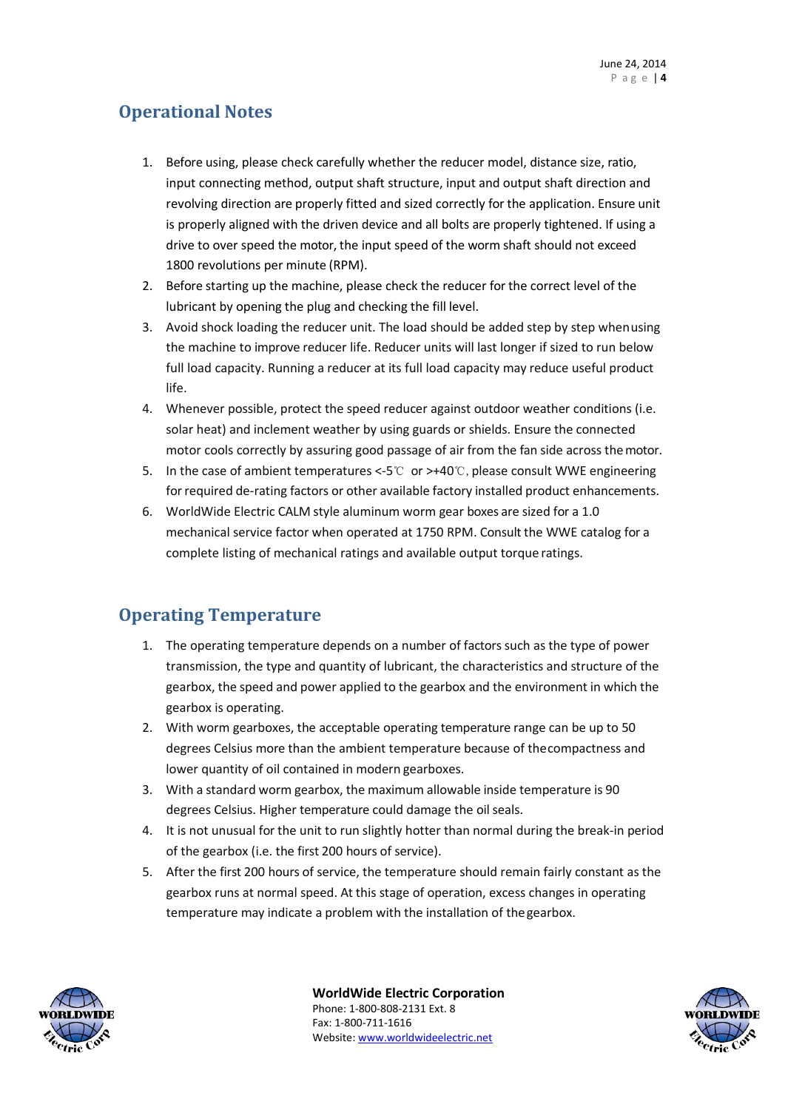#### <span id="page-3-0"></span>**Operational Notes**

- 1. Before using, please check carefully whether the reducer model, distance size, ratio, input connecting method, output shaft structure, input and output shaft direction and revolving direction are properly fitted and sized correctly for the application. Ensure unit is properly aligned with the driven device and all bolts are properly tightened. If using a drive to over speed the motor, the input speed of the worm shaft should not exceed 1800 revolutions per minute (RPM).
- 2. Before starting up the machine, please check the reducer for the correct level of the lubricant by opening the plug and checking the fill level.
- 3. Avoid shock loading the reducer unit. The load should be added step by step whenusing the machine to improve reducer life. Reducer units will last longer if sized to run below full load capacity. Running a reducer at its full load capacity may reduce useful product life.
- 4. Whenever possible, protect the speed reducer against outdoor weather conditions (i.e. solar heat) and inclement weather by using guards or shields. Ensure the connected motor cools correctly by assuring good passage of air from the fan side across themotor.
- 5. In the case of ambient temperatures <-5℃ or >+40℃,please consult WWE engineering forrequired de-rating factors or other available factory installed product enhancements.
- 6. WorldWide Electric CALM style aluminum worm gear boxes are sized for a 1.0 mechanical service factor when operated at 1750 RPM. Consult the WWE catalog for a complete listing of mechanical ratings and available output torque ratings.

#### <span id="page-3-1"></span>**Operating Temperature**

- 1. The operating temperature depends on a number of factors such as the type of power transmission, the type and quantity of lubricant, the characteristics and structure of the gearbox, the speed and power applied to the gearbox and the environment in which the gearbox is operating.
- 2. With worm gearboxes, the acceptable operating temperature range can be up to 50 degrees Celsius more than the ambient temperature because of thecompactness and lower quantity of oil contained in modern gearboxes.
- 3. With a standard worm gearbox, the maximum allowable inside temperature is 90 degrees Celsius. Higher temperature could damage the oil seals.
- 4. It is not unusual for the unit to run slightly hotter than normal during the break-in period of the gearbox (i.e. the first 200 hours of service).
- 5. After the first 200 hours of service, the temperature should remain fairly constant as the gearbox runs at normal speed. At this stage of operation, excess changes in operating temperature may indicate a problem with the installation of thegearbox.



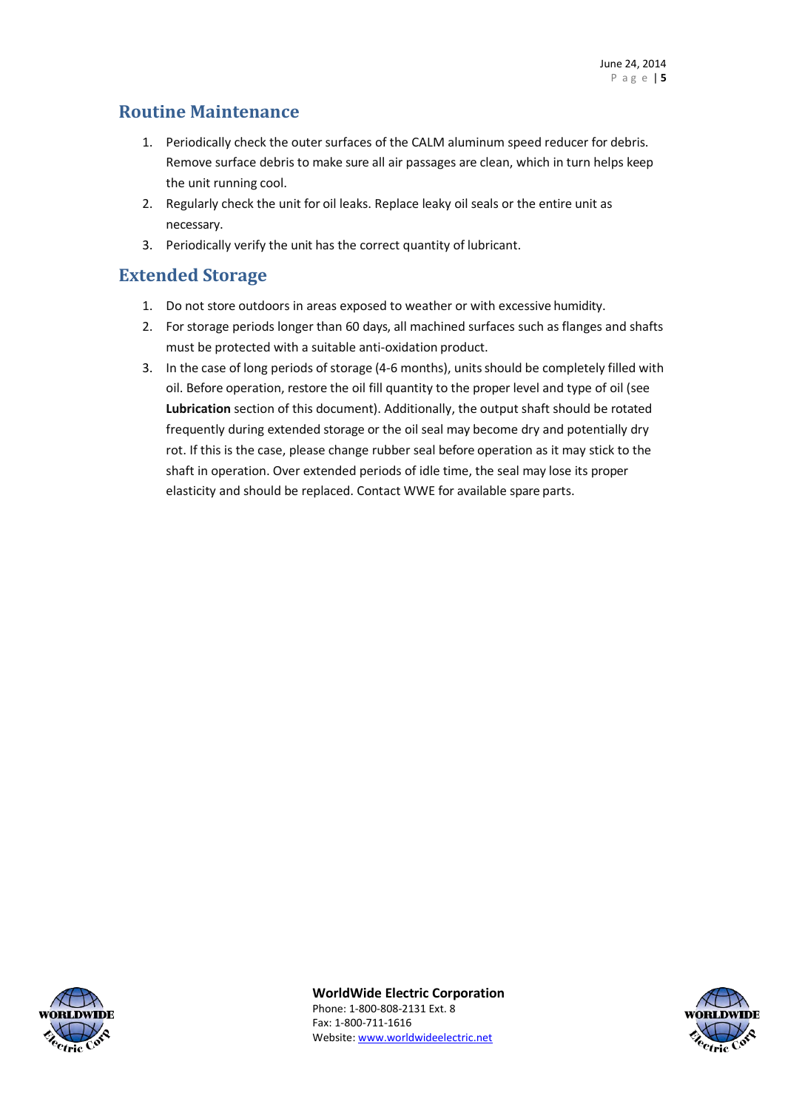#### <span id="page-4-0"></span>**Routine Maintenance**

- 1. Periodically check the outer surfaces of the CALM aluminum speed reducer for debris. Remove surface debris to make sure all air passages are clean, which in turn helps keep the unit running cool.
- 2. Regularly check the unit for oil leaks. Replace leaky oil seals or the entire unit as necessary.
- 3. Periodically verify the unit has the correct quantity of lubricant.

#### <span id="page-4-1"></span>**Extended Storage**

- 1. Do not store outdoors in areas exposed to weather or with excessive humidity.
- 2. For storage periods longer than 60 days, all machined surfaces such as flanges and shafts must be protected with a suitable anti-oxidation product.
- <span id="page-4-2"></span>3. In the case of long periods of storage (4-6 months), units should be completely filled with oil. Before operation, restore the oil fill quantity to the proper level and type of oil (see **Lubrication** section of this document). Additionally, the output shaft should be rotated frequently during extended storage or the oil seal may become dry and potentially dry rot. If this is the case, please change rubber seal before operation as it may stick to the shaft in operation. Over extended periods of idle time, the seal may lose its proper elasticity and should be replaced. Contact WWE for available spare parts.



**WorldWide Electric Corporation** Phone: 1-800-808-2131 Ext. 8

Fax: 1-800-711-1616 Website: [www.worldwideelectric.net](http://www.worldwideelectric.net/)

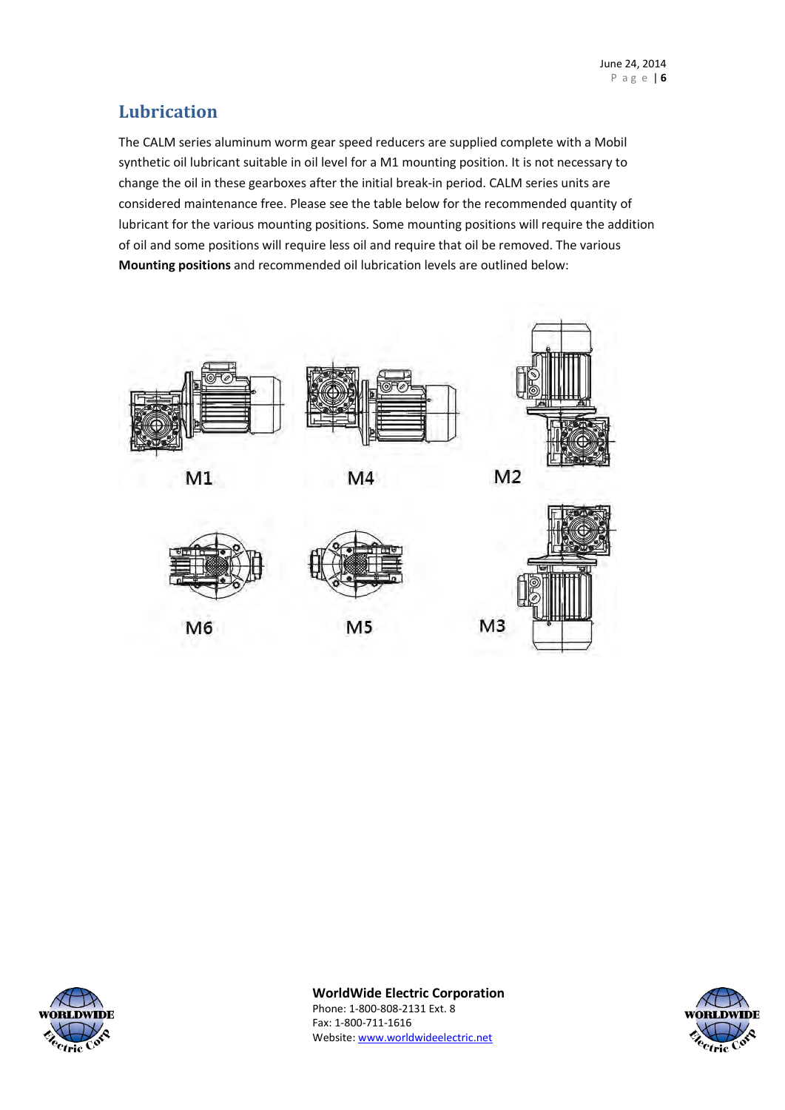#### **Lubrication**

The CALM series aluminum worm gear speed reducers are supplied complete with a Mobil synthetic oil lubricant suitable in oil level for a M1 mounting position. It is not necessary to change the oil in these gearboxes after the initial break-in period. CALM series units are considered maintenance free. Please see the table below for the recommended quantity of lubricant for the various mounting positions. Some mounting positions will require the addition of oil and some positions will require less oil and require that oil be removed. The various **Mounting positions** and recommended oil lubrication levels are outlined below:



 $M1$ 



M4



M<sub>6</sub>

M<sub>5</sub>





**WorldWide Electric Corporation**

Phone: 1-800-808-2131 Ext. 8 Fax: 1-800-711-1616 Website: [www.worldwideelectric.net](http://www.worldwideelectric.net/)

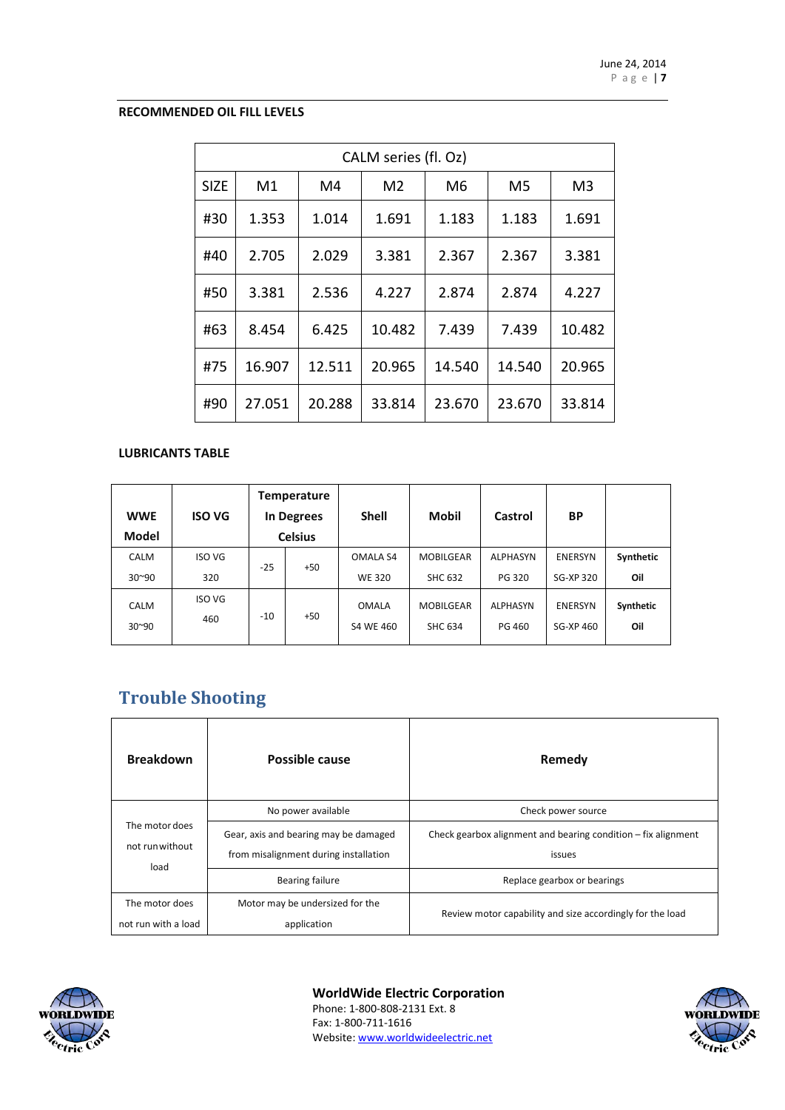#### **RECOMMENDED OIL FILL LEVELS**

|             | CALM series (fl. Oz) |        |                |        |        |                |
|-------------|----------------------|--------|----------------|--------|--------|----------------|
| <b>SIZE</b> | M1                   | M4     | M <sub>2</sub> | M6     | M5     | M <sub>3</sub> |
| #30         | 1.353                | 1.014  | 1.691          | 1.183  | 1.183  | 1.691          |
| #40         | 2.705                | 2.029  | 3.381          | 2.367  | 2.367  | 3.381          |
| #50         | 3.381                | 2.536  | 4.227          | 2.874  | 2.874  | 4.227          |
| #63         | 8.454                | 6.425  | 10.482         | 7.439  | 7.439  | 10.482         |
| #75         | 16.907               | 12.511 | 20.965         | 14.540 | 14.540 | 20.965         |
| #90         | 27.051               | 20.288 | 33.814         | 23.670 | 23.670 | 33.814         |

#### **LUBRICANTS TABLE**

| <b>WWE</b><br><b>Model</b>    | <b>ISO VG</b>        |       | <b>Temperature</b><br>In Degrees<br><b>Celsius</b> | <b>Shell</b>                     | <b>Mobil</b>                       | Castrol                          | <b>BP</b>                   |                  |
|-------------------------------|----------------------|-------|----------------------------------------------------|----------------------------------|------------------------------------|----------------------------------|-----------------------------|------------------|
| <b>CALM</b><br>$30^{\circ}90$ | <b>ISO VG</b><br>320 | $-25$ | +50                                                | <b>OMALA S4</b><br><b>WE 320</b> | <b>MOBILGEAR</b><br><b>SHC 632</b> | <b>ALPHASYN</b><br>PG 320        | <b>ENERSYN</b><br>SG-XP 320 | Synthetic<br>Oil |
| <b>CALM</b><br>$30^{\sim}90$  | <b>ISO VG</b><br>460 | $-10$ | $+50$                                              | <b>OMALA</b><br>S4 WE 460        | <b>MOBILGEAR</b><br><b>SHC 634</b> | <b>ALPHASYN</b><br><b>PG 460</b> | <b>ENERSYN</b><br>SG-XP 460 | Synthetic<br>Oil |

## <span id="page-6-0"></span>**Trouble Shooting**

| <b>Breakdown</b>                          | Possible cause                                                                 | Remedy                                                                  |
|-------------------------------------------|--------------------------------------------------------------------------------|-------------------------------------------------------------------------|
|                                           | No power available                                                             | Check power source                                                      |
| The motor does<br>not run without<br>load | Gear, axis and bearing may be damaged<br>from misalignment during installation | Check gearbox alignment and bearing condition – fix alignment<br>issues |
|                                           | <b>Bearing failure</b>                                                         | Replace gearbox or bearings                                             |
| The motor does<br>not run with a load     | Motor may be undersized for the                                                | Review motor capability and size accordingly for the load               |
|                                           | application                                                                    |                                                                         |



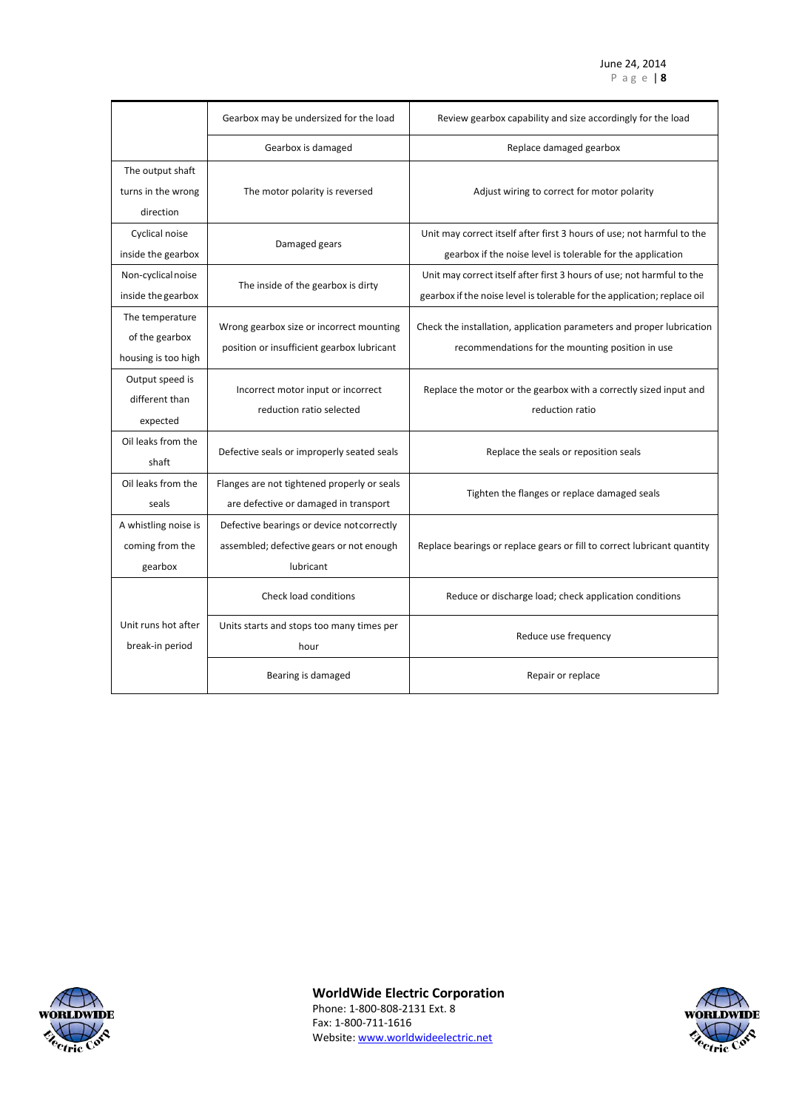|                                                          | Gearbox may be undersized for the load                                                              | Review gearbox capability and size accordingly for the load                                                                                        |
|----------------------------------------------------------|-----------------------------------------------------------------------------------------------------|----------------------------------------------------------------------------------------------------------------------------------------------------|
|                                                          | Gearbox is damaged                                                                                  | Replace damaged gearbox                                                                                                                            |
| The output shaft<br>turns in the wrong<br>direction      | The motor polarity is reversed                                                                      | Adjust wiring to correct for motor polarity                                                                                                        |
| Cyclical noise<br>inside the gearbox                     | Damaged gears                                                                                       | Unit may correct itself after first 3 hours of use; not harmful to the<br>gearbox if the noise level is tolerable for the application              |
| Non-cyclical noise<br>inside the gearbox                 | The inside of the gearbox is dirty                                                                  | Unit may correct itself after first 3 hours of use; not harmful to the<br>gearbox if the noise level is tolerable for the application; replace oil |
| The temperature<br>of the gearbox<br>housing is too high | Wrong gearbox size or incorrect mounting<br>position or insufficient gearbox lubricant              | Check the installation, application parameters and proper lubrication<br>recommendations for the mounting position in use                          |
| Output speed is<br>different than<br>expected            | Incorrect motor input or incorrect<br>reduction ratio selected                                      | Replace the motor or the gearbox with a correctly sized input and<br>reduction ratio                                                               |
| Oil leaks from the<br>shaft                              | Defective seals or improperly seated seals                                                          | Replace the seals or reposition seals                                                                                                              |
| Oil leaks from the<br>seals                              | Flanges are not tightened properly or seals<br>are defective or damaged in transport                | Tighten the flanges or replace damaged seals                                                                                                       |
| A whistling noise is<br>coming from the<br>gearbox       | Defective bearings or device not correctly<br>assembled; defective gears or not enough<br>lubricant | Replace bearings or replace gears or fill to correct lubricant quantity                                                                            |
|                                                          | <b>Check load conditions</b>                                                                        | Reduce or discharge load; check application conditions                                                                                             |
| Unit runs hot after<br>break-in period                   | Units starts and stops too many times per<br>hour                                                   | Reduce use frequency                                                                                                                               |
|                                                          | Bearing is damaged                                                                                  | Repair or replace                                                                                                                                  |



**WorldWide Electric Corporation**

Phone: 1-800-808-2131 Ext. 8 Fax: 1-800-711-1616 Website: [www.worldwideelectric.net](http://www.worldwideelectric.net/)

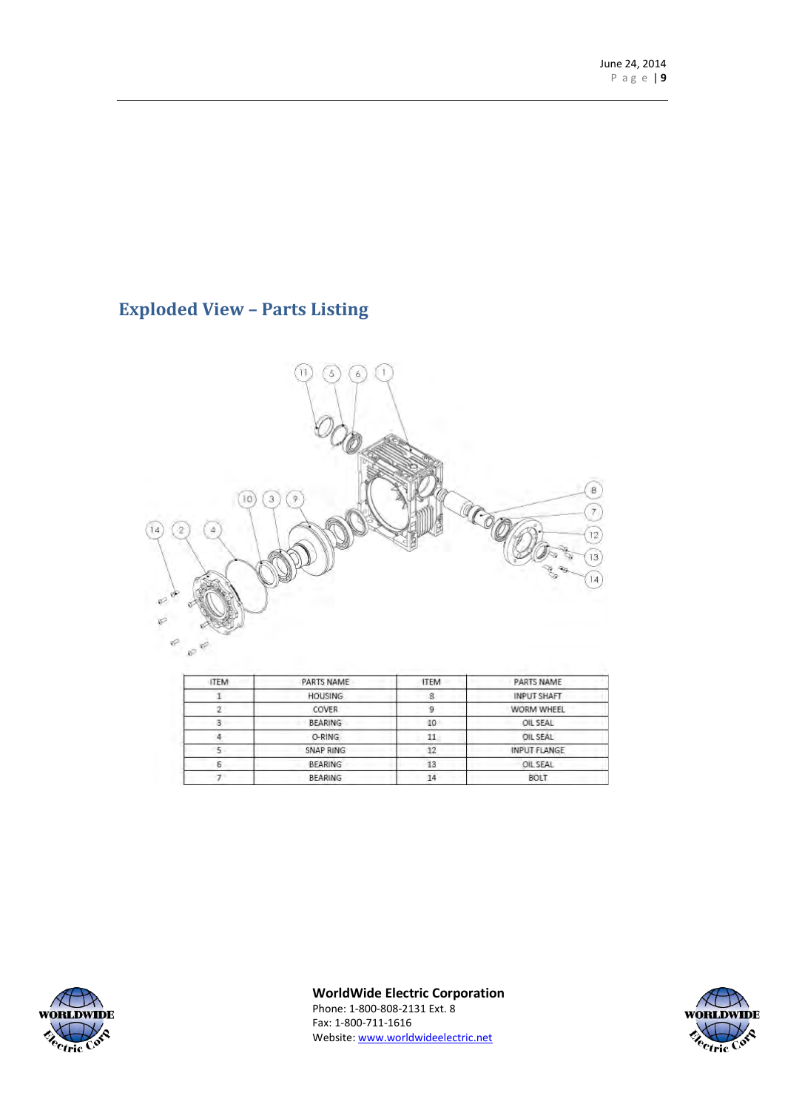## <span id="page-8-0"></span>**Exploded View – Parts Listing**



| <b>ITEM</b> | PARTS NAME     | <b>ITEM</b>    | PARTS NAME          |
|-------------|----------------|----------------|---------------------|
|             | <b>HOUSING</b> | 8              | <b>INPUT SHAFT</b>  |
|             | COVER          | 9              | WORM WHEEL          |
|             | <b>BEARING</b> | OIL SEAL<br>10 |                     |
|             | O-RING         | 11             | OIL SEAL            |
|             | SNAP RING      | 12             | <b>INPUT FLANGE</b> |
| Б           | <b>BEARING</b> | 13             | OIL SEAL            |
|             | <b>BEARING</b> | 14             | <b>BOLT</b>         |



**WorldWide Electric Corporation**

Phone: 1-800-808-2131 Ext. 8 Fax: 1-800-711-1616 Website: [www.worldwideelectric.net](http://www.worldwideelectric.net/)